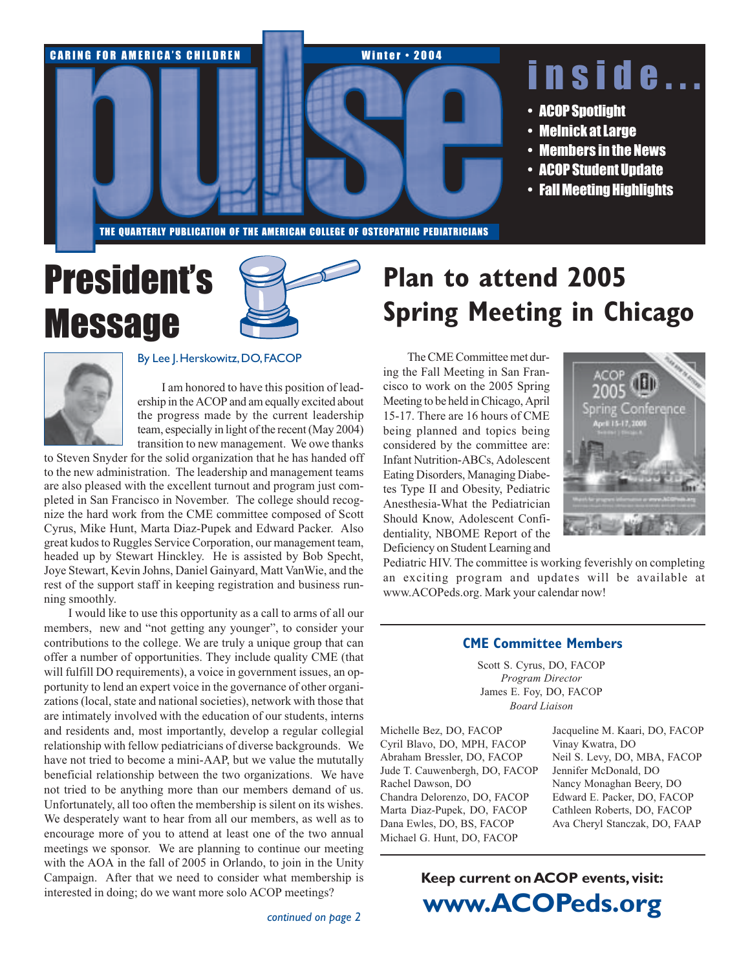

# **President's Message**





#### By Lee J. Herskowitz, DO, FACOP

I am honored to have this position of leadership in the ACOP and am equally excited about the progress made by the current leadership team, especially in light of the recent (May 2004) transition to new management. We owe thanks

to Steven Snyder for the solid organization that he has handed off to the new administration. The leadership and management teams are also pleased with the excellent turnout and program just completed in San Francisco in November. The college should recognize the hard work from the CME committee composed of Scott Cyrus, Mike Hunt, Marta Diaz-Pupek and Edward Packer. Also great kudos to Ruggles Service Corporation, our management team, headed up by Stewart Hinckley. He is assisted by Bob Specht, Joye Stewart, Kevin Johns, Daniel Gainyard, Matt Van Wie, and the rest of the support staff in keeping registration and business running smoothly.

I would like to use this opportunity as a call to arms of all our members, new and "not getting any younger", to consider your contributions to the college. We are truly a unique group that can offer a number of opportunities. They include quality CME (that will fulfill DO requirements), a voice in government issues, an opportunity to lend an expert voice in the governance of other organizations (local, state and national societies), network with those that are intimately involved with the education of our students, interns and residents and, most importantly, develop a regular collegial relationship with fellow pediatricians of diverse backgrounds. We have not tried to become a mini-AAP, but we value the mututally beneficial relationship between the two organizations. We have not tried to be anything more than our members demand of us. Unfortunately, all too often the membership is silent on its wishes. We desperately want to hear from all our members, as well as to encourage more of you to attend at least one of the two annual meetings we sponsor. We are planning to continue our meeting with the AOA in the fall of 2005 in Orlando, to join in the Unity Campaign. After that we need to consider what membership is interested in doing; do we want more solo ACOP meetings?

## **Plan to attend 2005 Spring Meeting in Chicago**

The CME Committee met during the Fall Meeting in San Francisco to work on the 2005 Spring Meeting to be held in Chicago, April 15-17. There are 16 hours of CME being planned and topics being considered by the committee are: **Infant Nutrition-ABCs, Adolescent** Eating Disorders, Managing Diabetes Type II and Obesity, Pediatric Anesthesia-What the Pediatrician Should Know, Adolescent Confidentiality, NBOME Report of the Deficiency on Student Learning and



Pediatric HIV. The committee is working feverishly on completing an exciting program and updates will be available at www.ACOPeds.org. Mark your calendar now!

### **CME Committee Members**

Scott S. Cyrus, DO, FACOP Program Director James E. Foy, DO, FACOP **Board Liaison** 

Michelle Bez, DO, FACOP Cyril Blavo, DO, MPH, FACOP Abraham Bressler, DO, FACOP Jude T. Cauwenbergh, DO, FACOP Rachel Dawson, DO Chandra Delorenzo, DO, FACOP Marta Diaz-Pupek, DO, FACOP Dana Ewles, DO, BS, FACOP Michael G. Hunt, DO, FACOP

Jacqueline M. Kaari, DO, FACOP Vinav Kwatra, DO Neil S. Levy, DO, MBA, FACOP Jennifer McDonald, DO Nancy Monaghan Beery, DO Edward E. Packer, DO, FACOP Cathleen Roberts, DO, FACOP Ava Cheryl Stanczak, DO, FAAP

### Keep current on ACOP events, visit: www.ACOPeds.org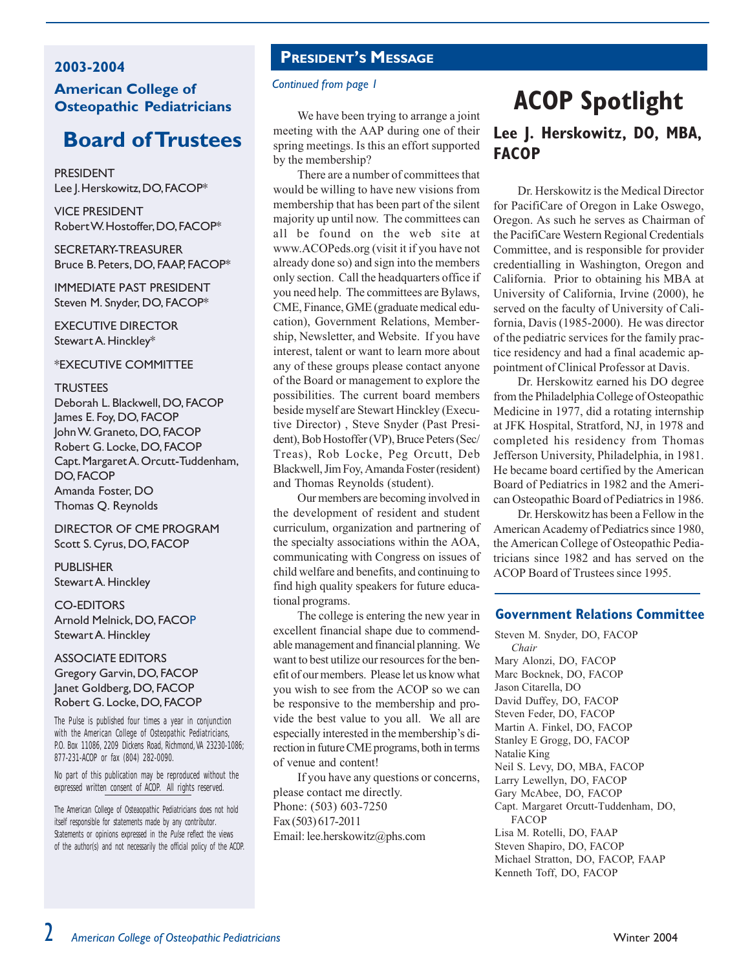### 2003-2004 **American College of** Osteopathic Pediatricians

### **Board of Trustees**

**PRESIDENT** Lee J. Herskowitz, DO, FACOP\*

**VICE PRESIDENT** Robert W. Hostoffer, DO, FACOP\*

SECRETARY-TREASURER Bruce B. Peters, DO, FAAP, FACOP\*

**IMMEDIATE PAST PRESIDENT** Steven M. Snyder, DO, FACOP\*

**EXECUTIVE DIRECTOR** Stewart A. Hinckley\*

#### \*EXECUTIVE COMMITTEE

#### **TRUSTEES**

Deborah L. Blackwell, DO, FACOP James E. Foy, DO, FACOP John W. Graneto, DO, FACOP Robert G. Locke, DO, FACOP Capt. Margaret A. Orcutt-Tuddenham, **DO.FACOP** Amanda Foster, DO Thomas Q. Reynolds

DIRECTOR OF CME PROGRAM Scott S. Cyrus, DO, FACOP

PURI ISHER Stewart A. Hinckley

#### **CO-EDITORS**

Arnold Melnick, DO, FACOP Stewart A. Hinckley

### **ASSOCIATE EDITORS** Gregory Garvin, DO, FACOP Janet Goldberg, DO, FACOP Robert G. Locke, DO, FACOP

The Pulse is published four times a year in conjunction with the American College of Osteopathic Pediatricians, P.O. Box 11086, 2209 Dickens Road, Richmond, VA 23230-1086; 877-231-ACOP or fax (804) 282-0090.

No part of this publication may be reproduced without the expressed written consent of ACOP. All rights reserved.

The American College of Osteaopathic Pediatricians does not hold itself responsible for statements made by any contributor. Statements or opinions expressed in the Pulse reflect the views of the author(s) and not necessarily the official policy of the ACOP.

### **PRESIDENT'S MESSAGE**

### Continued from page 1

We have been trying to arrange a joint meeting with the AAP during one of their spring meetings. Is this an effort supported by the membership?

There are a number of committees that would be willing to have new visions from membership that has been part of the silent majority up until now. The committees can all be found on the web site at www.ACOPeds.org (visit it if you have not already done so) and sign into the members only section. Call the headquarters office if you need help. The committees are Bylaws, CME, Finance, GME (graduate medical education), Government Relations, Membership, Newsletter, and Website. If you have interest, talent or want to learn more about any of these groups please contact anyone of the Board or management to explore the possibilities. The current board members beside myself are Stewart Hinckley (Executive Director), Steve Snyder (Past President), Bob Hostoffer (VP), Bruce Peters (Sec/ Treas), Rob Locke, Peg Orcutt, Deb Blackwell, Jim Foy, Amanda Foster (resident) and Thomas Reynolds (student).

Our members are becoming involved in the development of resident and student curriculum, organization and partnering of the specialty associations within the AOA, communicating with Congress on issues of child welfare and benefits, and continuing to find high quality speakers for future educational programs.

The college is entering the new year in excellent financial shape due to commendable management and financial planning. We want to best utilize our resources for the benefit of our members. Please let us know what you wish to see from the ACOP so we can be responsive to the membership and provide the best value to you all. We all are especially interested in the membership's direction in future CME programs, both in terms of venue and content!

If you have any questions or concerns, please contact me directly. Phone: (503) 603-7250 Fax (503) 617-2011 Email: lee.herskowitz@phs.com

### **ACOP Spotlight** Lee J. Herskowitz, DO, MBA, **FACOP**

Dr. Herskowitz is the Medical Director for PacifiCare of Oregon in Lake Oswego, Oregon. As such he serves as Chairman of the PacifiCare Western Regional Credentials Committee, and is responsible for provider credentialling in Washington, Oregon and California. Prior to obtaining his MBA at University of California, Irvine (2000), he served on the faculty of University of California, Davis (1985-2000). He was director of the pediatric services for the family practice residency and had a final academic appointment of Clinical Professor at Davis.

Dr. Herskowitz earned his DO degree from the Philadelphia College of Osteopathic Medicine in 1977, did a rotating internship at JFK Hospital, Stratford, NJ, in 1978 and completed his residency from Thomas Jefferson University, Philadelphia, in 1981. He became board certified by the American Board of Pediatrics in 1982 and the American Osteopathic Board of Pediatrics in 1986.

Dr. Herskowitz has been a Fellow in the American Academy of Pediatrics since 1980, the American College of Osteopathic Pediatricians since 1982 and has served on the ACOP Board of Trustees since 1995.

### **Government Relations Committee**

Steven M. Snyder, DO, FACOP Chair Mary Alonzi, DO, FACOP Marc Bocknek, DO, FACOP Jason Citarella, DO David Duffey, DO, FACOP Steven Feder, DO, FACOP Martin A. Finkel, DO, FACOP Stanley E Grogg, DO, FACOP Natalie King Neil S. Levy, DO, MBA, FACOP Larry Lewellyn, DO, FACOP Gary McAbee, DO, FACOP Capt. Margaret Orcutt-Tuddenham, DO, **FACOP** Lisa M. Rotelli, DO, FAAP Steven Shapiro, DO, FACOP Michael Stratton, DO, FACOP, FAAP Kenneth Toff, DO, FACOP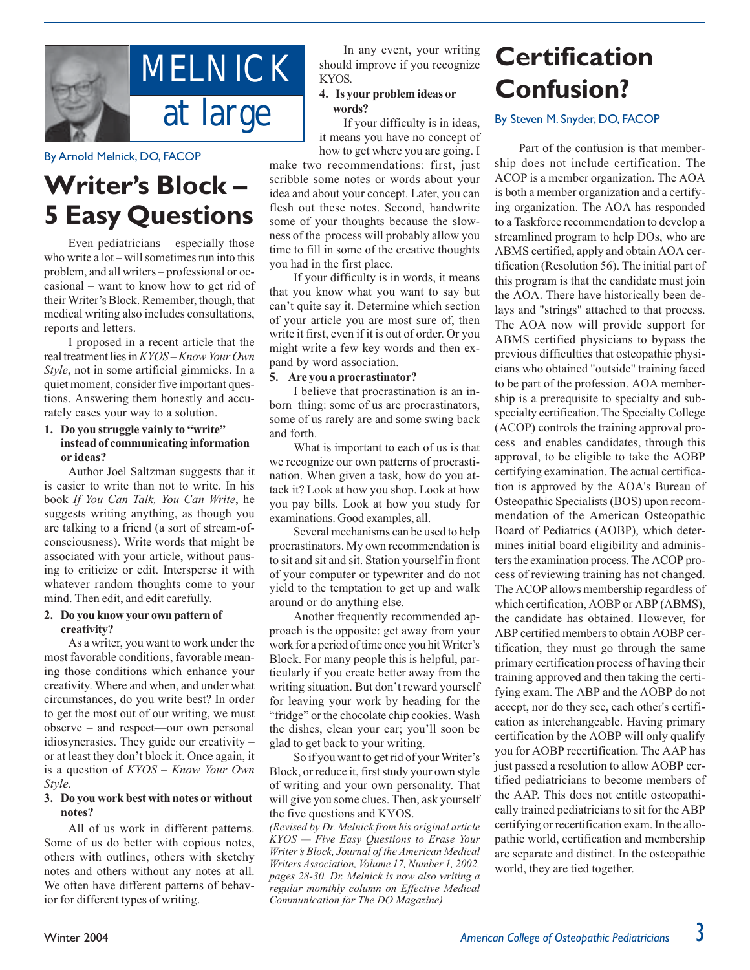

By Arnold Melnick, DO, FACOP

## **Writer's Block-5 Easy Questions**

Even pediatricians  $-$  especially those who write a  $lot - will$  sometimes run into this problem, and all writers – professional or occasional – want to know how to get rid of their Writer's Block. Remember, though, that medical writing also includes consultations, reports and letters.

I proposed in a recent article that the real treatment lies in KYOS-Know Your Own Style, not in some artificial gimmicks. In a quiet moment, consider five important questions. Answering them honestly and accurately eases your way to a solution.

### 1. Do you struggle vainly to "write" instead of communicating information or ideas?

Author Joel Saltzman suggests that it is easier to write than not to write. In his book If You Can Talk, You Can Write, he suggests writing anything, as though you are talking to a friend (a sort of stream-ofconsciousness). Write words that might be associated with your article, without pausing to criticize or edit. Intersperse it with whatever random thoughts come to your mind. Then edit, and edit carefully.

### 2. Do you know your own pattern of creativity?

As a writer, you want to work under the most favorable conditions, favorable meaning those conditions which enhance your creativity. Where and when, and under what circumstances, do you write best? In order to get the most out of our writing, we must observe - and respect-our own personal idiosyncrasies. They guide our creativity or at least they don't block it. Once again, it is a question of  $KYOS - Know$  Your Own Style.

### 3. Do you work best with notes or without notes?

All of us work in different patterns. Some of us do better with copious notes, others with outlines, others with sketchy notes and others without any notes at all. We often have different patterns of behavior for different types of writing.

In any event, your writing should improve if you recognize KYOS.

### 4. Is your problem ideas or words?

If your difficulty is in ideas, it means you have no concept of how to get where you are going. I

make two recommendations: first, just scribble some notes or words about your idea and about your concept. Later, you can flesh out these notes. Second, handwrite some of your thoughts because the slowness of the process will probably allow you time to fill in some of the creative thoughts you had in the first place.

If your difficulty is in words, it means that you know what you want to say but can't quite say it. Determine which section of your article you are most sure of, then write it first, even if it is out of order. Or you might write a few key words and then expand by word association.

### 5. Are you a procrastinator?

I believe that procrastination is an inborn thing: some of us are procrastinators, some of us rarely are and some swing back and forth.

What is important to each of us is that we recognize our own patterns of procrastination. When given a task, how do you attack it? Look at how you shop. Look at how you pay bills. Look at how you study for examinations. Good examples, all.

Several mechanisms can be used to help procrastinators. My own recommendation is to sit and sit and sit. Station yourself in front of your computer or typewriter and do not yield to the temptation to get up and walk around or do anything else.

Another frequently recommended approach is the opposite: get away from your work for a period of time once you hit Writer's Block. For many people this is helpful, particularly if you create better away from the writing situation. But don't reward yourself for leaving your work by heading for the "fridge" or the chocolate chip cookies. Wash the dishes, clean your car; you'll soon be glad to get back to your writing.

So if you want to get rid of your Writer's Block, or reduce it, first study your own style of writing and your own personality. That will give you some clues. Then, ask yourself the five questions and KYOS.

(Revised by Dr. Melnick from his original article KYOS - Five Easy Questions to Erase Your Writer's Block, Journal of the American Medical Writers Association, Volume 17, Number 1, 2002, pages 28-30. Dr. Melnick is now also writing a regular momthly column on Effective Medical Communication for The DO Magazine)

## **Certification Confusion?**

### By Steven M. Snyder, DO, FACOP

Part of the confusion is that membership does not include certification. The ACOP is a member organization. The AOA is both a member organization and a certifying organization. The AOA has responded to a Taskforce recommendation to develop a streamlined program to help DOs, who are ABMS certified, apply and obtain AOA certification (Resolution 56). The initial part of this program is that the candidate must join the AOA. There have historically been delays and "strings" attached to that process. The AOA now will provide support for ABMS certified physicians to bypass the previous difficulties that osteopathic physicians who obtained "outside" training faced to be part of the profession. AOA membership is a prerequisite to specialty and subspecialty certification. The Specialty College (ACOP) controls the training approval process and enables candidates, through this approval, to be eligible to take the AOBP certifying examination. The actual certification is approved by the AOA's Bureau of Osteopathic Specialists (BOS) upon recommendation of the American Osteopathic Board of Pediatrics (AOBP), which determines initial board eligibility and administers the examination process. The ACOP process of reviewing training has not changed. The ACOP allows membership regardless of which certification, AOBP or ABP (ABMS), the candidate has obtained. However, for ABP certified members to obtain AOBP certification, they must go through the same primary certification process of having their training approved and then taking the certifying exam. The ABP and the AOBP do not accept, nor do they see, each other's certification as interchangeable. Having primary certification by the AOBP will only qualify you for AOBP recertification. The AAP has just passed a resolution to allow AOBP certified pediatricians to become members of the AAP. This does not entitle osteopathically trained pediatricians to sit for the ABP certifying or recertification exam. In the allopathic world, certification and membership are separate and distinct. In the osteopathic world, they are tied together.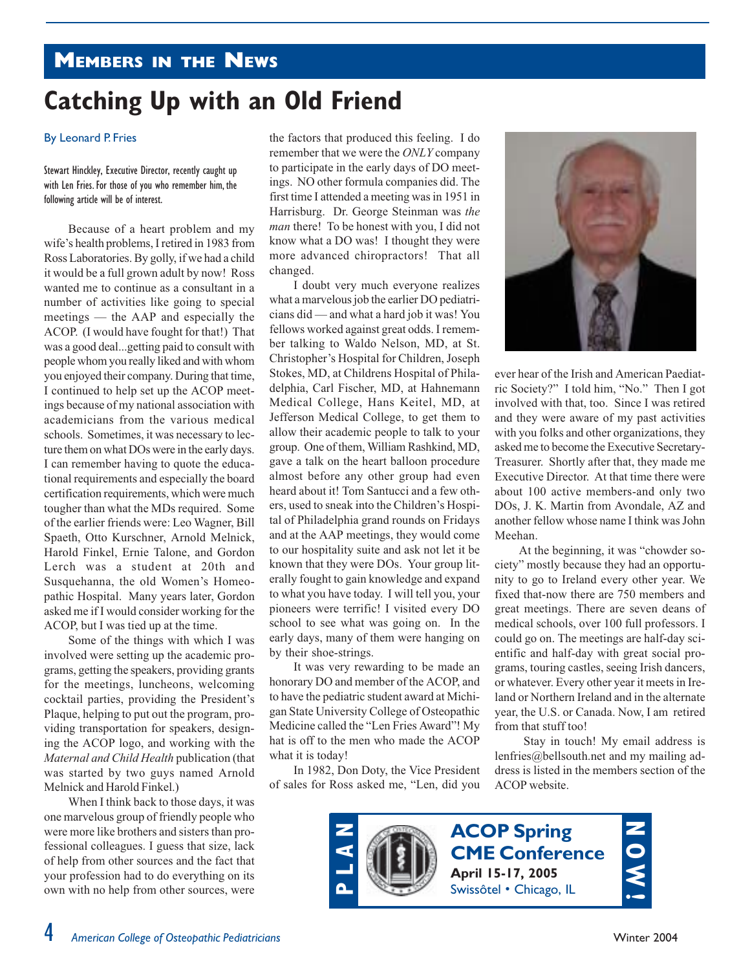### **MEMBERS IN THE NEWS**

## **Catching Up with an Old Friend**

### By Leonard P. Fries

Stewart Hinckley, Executive Director, recently caught up with Len Fries. For those of you who remember him, the following article will be of interest.

Because of a heart problem and my wife's health problems, I retired in 1983 from Ross Laboratories. By golly, if we had a child it would be a full grown adult by now! Ross wanted me to continue as a consultant in a number of activities like going to special meetings — the AAP and especially the ACOP. (I would have fought for that!) That was a good deal...getting paid to consult with people whom you really liked and with whom you enjoyed their company. During that time, I continued to help set up the ACOP meetings because of my national association with academicians from the various medical schools. Sometimes, it was necessary to lecture them on what DOs were in the early days. I can remember having to quote the educational requirements and especially the board certification requirements, which were much tougher than what the MDs required. Some of the earlier friends were: Leo Wagner, Bill Spaeth, Otto Kurschner, Arnold Melnick, Harold Finkel, Ernie Talone, and Gordon Lerch was a student at 20th and Susquehanna, the old Women's Homeopathic Hospital. Many years later, Gordon asked me if I would consider working for the ACOP, but I was tied up at the time.

Some of the things with which I was involved were setting up the academic programs, getting the speakers, providing grants for the meetings, luncheons, welcoming cocktail parties, providing the President's Plaque, helping to put out the program, providing transportation for speakers, designing the ACOP logo, and working with the Maternal and Child Health publication (that was started by two guys named Arnold Melnick and Harold Finkel.)

When I think back to those days, it was one marvelous group of friendly people who were more like brothers and sisters than professional colleagues. I guess that size, lack of help from other sources and the fact that your profession had to do everything on its own with no help from other sources, were

the factors that produced this feeling. I do remember that we were the ONLY company to participate in the early days of DO meetings. NO other formula companies did. The first time I attended a meeting was in 1951 in Harrisburg. Dr. George Steinman was the *man* there! To be honest with you, I did not know what a DO was! I thought they were more advanced chiropractors! That all changed.

I doubt very much everyone realizes what a marvelous job the earlier DO pediatricians did — and what a hard job it was! You fellows worked against great odds. I remember talking to Waldo Nelson, MD, at St. Christopher's Hospital for Children, Joseph Stokes, MD, at Childrens Hospital of Philadelphia, Carl Fischer, MD, at Hahnemann Medical College, Hans Keitel, MD, at Jefferson Medical College, to get them to allow their academic people to talk to your group. One of them, William Rashkind, MD, gave a talk on the heart balloon procedure almost before any other group had even heard about it! Tom Santucci and a few others, used to sneak into the Children's Hospital of Philadelphia grand rounds on Fridays and at the AAP meetings, they would come to our hospitality suite and ask not let it be known that they were DOs. Your group literally fought to gain knowledge and expand to what you have today. I will tell you, your pioneers were terrific! I visited every DO school to see what was going on. In the early days, many of them were hanging on by their shoe-strings.

It was very rewarding to be made an honorary DO and member of the ACOP, and to have the pediatric student award at Michigan State University College of Osteopathic Medicine called the "Len Fries Award"! My hat is off to the men who made the ACOP what it is today!

In 1982, Don Doty, the Vice President of sales for Ross asked me, "Len, did you



ever hear of the Irish and American Paediatric Society?" I told him, "No." Then I got involved with that, too. Since I was retired and they were aware of my past activities with you folks and other organizations, they asked me to become the Executive Secretary-Treasurer. Shortly after that, they made me Executive Director. At that time there were about 100 active members-and only two DOs, J. K. Martin from Avondale, AZ and another fellow whose name I think was John Meehan

At the beginning, it was "chowder society" mostly because they had an opportunity to go to Ireland every other year. We fixed that-now there are 750 members and great meetings. There are seven deans of medical schools, over 100 full professors. I could go on. The meetings are half-day scientific and half-day with great social programs, touring castles, seeing Irish dancers, or whatever. Every other year it meets in Ireland or Northern Ireland and in the alternate vear, the U.S. or Canada, Now, I am retired from that stuff too!

Stay in touch! My email address is lenfries  $@$  bells outh net and my mailing address is listed in the members section of the ACOP website.

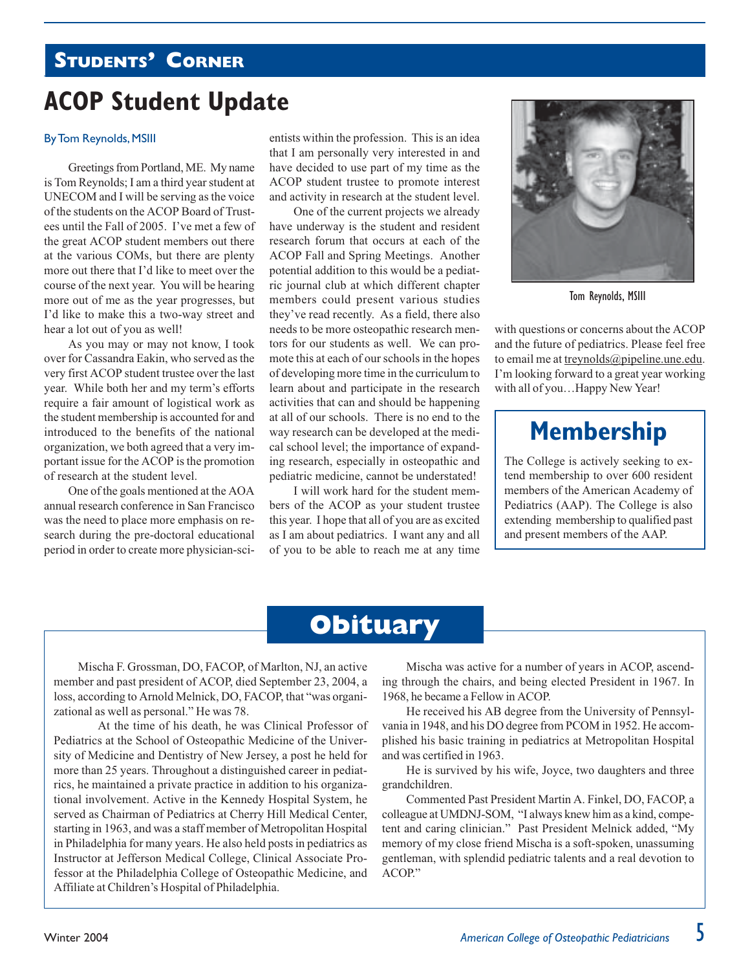### **STUDENTS' CORNER**

## **ACOP Student Update**

### **By Tom Reynolds, MSIII**

Greetings from Portland, ME. My name is Tom Reynolds; I am a third year student at UNECOM and I will be serving as the voice of the students on the ACOP Board of Trustees until the Fall of 2005. I've met a few of the great ACOP student members out there at the various COMs, but there are plenty more out there that I'd like to meet over the course of the next year. You will be hearing more out of me as the year progresses, but I'd like to make this a two-way street and hear a lot out of you as well!

As you may or may not know, I took over for Cassandra Eakin, who served as the very first ACOP student trustee over the last year. While both her and my term's efforts require a fair amount of logistical work as the student membership is accounted for and introduced to the benefits of the national organization, we both agreed that a very important issue for the ACOP is the promotion of research at the student level.

One of the goals mentioned at the AOA annual research conference in San Francisco was the need to place more emphasis on research during the pre-doctoral educational period in order to create more physician-scientists within the profession. This is an idea that I am personally very interested in and have decided to use part of my time as the ACOP student trustee to promote interest and activity in research at the student level.

One of the current projects we already have underway is the student and resident research forum that occurs at each of the ACOP Fall and Spring Meetings. Another potential addition to this would be a pediatric journal club at which different chapter members could present various studies they've read recently. As a field, there also needs to be more osteopathic research mentors for our students as well. We can promote this at each of our schools in the hopes of developing more time in the curriculum to learn about and participate in the research activities that can and should be happening at all of our schools. There is no end to the way research can be developed at the medical school level; the importance of expanding research, especially in osteopathic and pediatric medicine, cannot be understated!

I will work hard for the student members of the ACOP as your student trustee this year. I hope that all of you are as excited as I am about pediatrics. I want any and all of you to be able to reach me at any time



Tom Reynolds, MSIII

with questions or concerns about the ACOP and the future of pediatrics. Please feel free to email me at treynolds  $\omega$  pipeline une edu. I'm looking forward to a great year working with all of you...Happy New Year!

### **Membership**

The College is actively seeking to extend membership to over 600 resident members of the American Academy of Pediatrics (AAP). The College is also extending membership to qualified past and present members of the AAP.

### **Obituary**

Mischa F. Grossman, DO, FACOP, of Marlton, NJ, an active member and past president of ACOP, died September 23, 2004, a loss, according to Arnold Melnick, DO, FACOP, that "was organizational as well as personal." He was 78.

At the time of his death, he was Clinical Professor of Pediatrics at the School of Osteopathic Medicine of the University of Medicine and Dentistry of New Jersey, a post he held for more than 25 years. Throughout a distinguished career in pediatrics, he maintained a private practice in addition to his organizational involvement. Active in the Kennedy Hospital System, he served as Chairman of Pediatrics at Cherry Hill Medical Center, starting in 1963, and was a staff member of Metropolitan Hospital in Philadelphia for many years. He also held posts in pediatrics as Instructor at Jefferson Medical College, Clinical Associate Professor at the Philadelphia College of Osteopathic Medicine, and Affiliate at Children's Hospital of Philadelphia.

Mischa was active for a number of years in ACOP, ascending through the chairs, and being elected President in 1967. In 1968, he became a Fellow in ACOP.

He received his AB degree from the University of Pennsylvania in 1948, and his DO degree from PCOM in 1952. He accomplished his basic training in pediatrics at Metropolitan Hospital and was certified in 1963.

He is survived by his wife, Joyce, two daughters and three grandchildren.

Commented Past President Martin A. Finkel, DO, FACOP, a colleague at UMDNJ-SOM, "I always knew him as a kind, competent and caring clinician." Past President Melnick added, "My memory of my close friend Mischa is a soft-spoken, unassuming gentleman, with splendid pediatric talents and a real devotion to ACOP."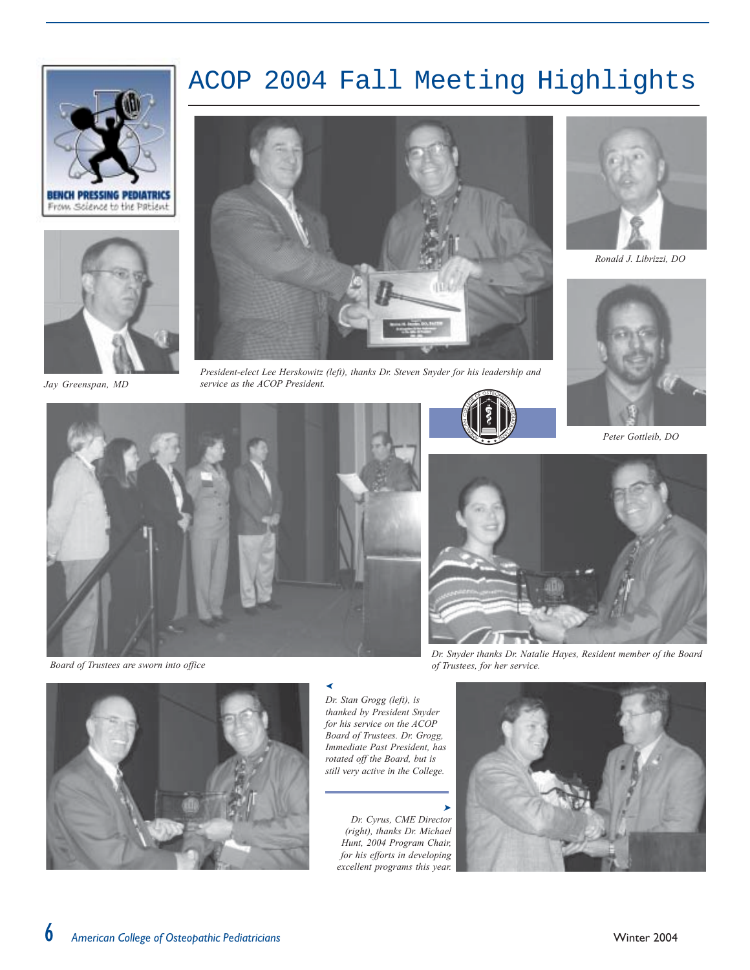### ACOP 2004 Fall Meeting Highlights





Jay Greenspan, MD



President-elect Lee Herskowitz (left), thanks Dr. Steven Snyder for his leadership and service as the ACOP President.





Ronald J. Librizzi, DO



Peter Gottleib, DO



Board of Trustees are sworn into office



Dr. Snyder thanks Dr. Natalie Hayes, Resident member of the Board of Trustees, for her service.



Dr. Stan Grogg (left), is thanked by President Snyder for his service on the ACOP Board of Trustees. Dr. Grogg, Immediate Past President, has rotated off the Board, but is still very active in the College.

Dr. Cyrus, CME Director (right), thanks Dr. Michael Hunt, 2004 Program Chair, for his efforts in developing excellent programs this year.

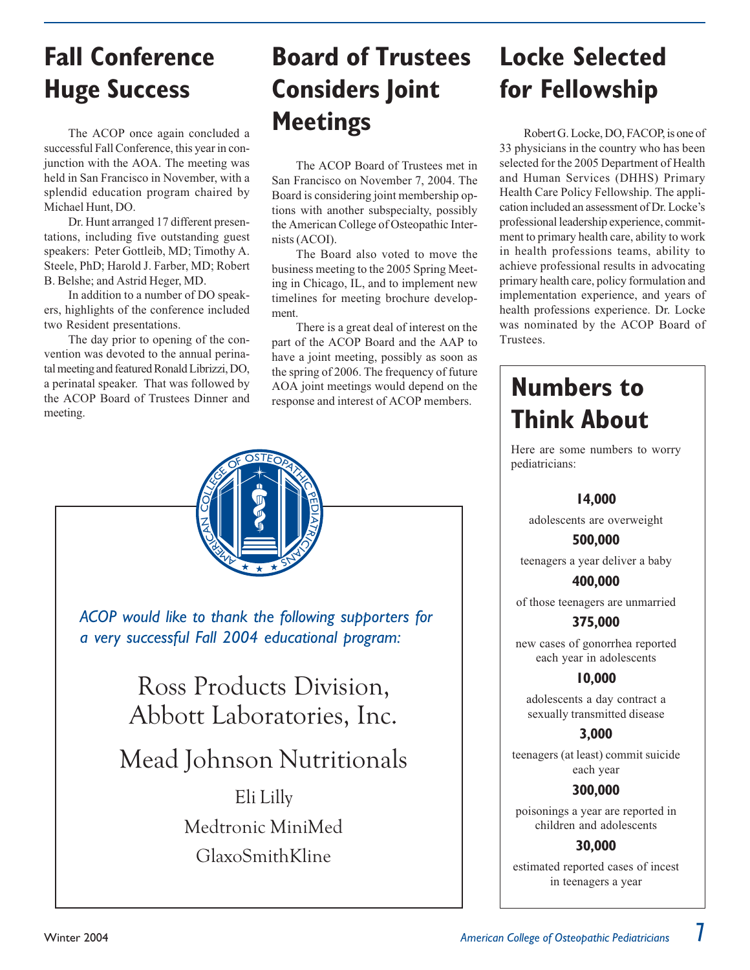## **Fall Conference Huge Success**

The ACOP once again concluded a successful Fall Conference, this year in conjunction with the AOA. The meeting was held in San Francisco in November, with a splendid education program chaired by Michael Hunt, DO.

Dr. Hunt arranged 17 different presentations, including five outstanding guest speakers: Peter Gottleib, MD; Timothy A. Steele, PhD; Harold J. Farber, MD; Robert B. Belshe; and Astrid Heger, MD.

In addition to a number of DO speakers, highlights of the conference included two Resident presentations.

The day prior to opening of the convention was devoted to the annual perinatal meeting and featured Ronald Librizzi, DO, a perinatal speaker. That was followed by the ACOP Board of Trustees Dinner and meeting.

## **Board of Trustees Considers Joint Meetings**

The ACOP Board of Trustees met in San Francisco on November 7, 2004. The Board is considering joint membership options with another subspecialty, possibly the American College of Osteopathic Internists (ACOI).

The Board also voted to move the business meeting to the 2005 Spring Meeting in Chicago, IL, and to implement new timelines for meeting brochure development.

There is a great deal of interest on the part of the ACOP Board and the AAP to have a joint meeting, possibly as soon as the spring of 2006. The frequency of future AOA joint meetings would depend on the response and interest of ACOP members.



## **Locke Selected** for Fellowship

Robert G. Locke, DO, FACOP, is one of 33 physicians in the country who has been selected for the 2005 Department of Health and Human Services (DHHS) Primary Health Care Policy Fellowship. The application included an assessment of Dr. Locke's professional leadership experience, commitment to primary health care, ability to work in health professions teams, ability to achieve professional results in advocating primary health care, policy formulation and implementation experience, and years of health professions experience. Dr. Locke was nominated by the ACOP Board of Trustees.

## **Numbers to Think About**

Here are some numbers to worry pediatricians:

### 14,000

adolescents are overweight

### 500.000

teenagers a year deliver a baby

400.000 of those teenagers are unmarried

375,000 new cases of gonorrhea reported each year in adolescents

### 10,000

adolescents a day contract a sexually transmitted disease

3.000

teenagers (at least) commit suicide each year

### 300.000

poisonings a year are reported in children and adolescents

### 30.000

estimated reported cases of incest in teenagers a year